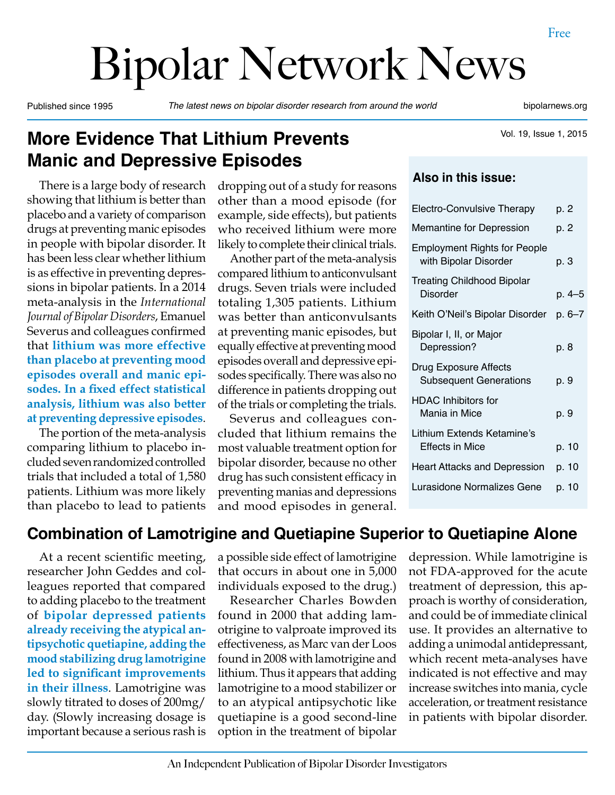# Bipolar Network News

Published since 1995 *The latest news on bipolar disorder research from around the world* bipolarnews.org

Vol. 19, Issue 1, 2015

# **More Evidence That Lithium Prevents Manic and Depressive Episodes**

There is a large body of research showing that lithium is better than placebo and a variety of comparison drugs at preventing manic episodes in people with bipolar disorder. It has been less clear whether lithium is as effective in preventing depressions in bipolar patients. In a 2014 meta-analysis in the *International Journal of Bipolar Disorders*, Emanuel Severus and colleagues confirmed that **lithium was more effective than placebo at preventing mood episodes overall and manic episodes. In a fixed effect statistical analysis, lithium was also better at preventing depressive episodes**.

The portion of the meta-analysis comparing lithium to placebo included seven randomized controlled trials that included a total of 1,580 patients. Lithium was more likely than placebo to lead to patients dropping out of a study for reasons other than a mood episode (for example, side effects), but patients who received lithium were more likely to complete their clinical trials.

Another part of the meta-analysis compared lithium to anticonvulsant drugs. Seven trials were included totaling 1,305 patients. Lithium was better than anticonvulsants at preventing manic episodes, but equally effective at preventing mood episodes overall and depressive episodes specifically. There was also no difference in patients dropping out of the trials or completing the trials.

Severus and colleagues concluded that lithium remains the most valuable treatment option for bipolar disorder, because no other drug has such consistent efficacy in preventing manias and depressions and mood episodes in general.

## **Also in this issue:**

| <b>Electro-Convulsive Therapy</b>                            | p. 2       |
|--------------------------------------------------------------|------------|
| Memantine for Depression                                     | p. 2       |
| <b>Employment Rights for People</b><br>with Bipolar Disorder | p. 3       |
| <b>Treating Childhood Bipolar</b><br><b>Disorder</b>         | p. 4–5     |
| Keith O'Neil's Bipolar Disorder                              | $p. 6 - 7$ |
| Bipolar I, II, or Major<br>Depression?                       | p. 8       |
| Drug Exposure Affects<br><b>Subsequent Generations</b>       | p. 9       |
| <b>HDAC Inhibitors for</b><br>Mania in Mice                  | p. 9       |
| Lithium Extends Ketamine's<br>Effects in Mice                | p. 10      |
| Heart Attacks and Depression                                 | p. 10      |
| Lurasidone Normalizes Gene                                   | p. 10      |
|                                                              |            |

## **Combination of Lamotrigine and Quetiapine Superior to Quetiapine Alone**

At a recent scientific meeting, researcher John Geddes and colleagues reported that compared to adding placebo to the treatment of **bipolar depressed patients already receiving the atypical antipsychotic quetiapine, adding the mood stabilizing drug lamotrigine led to significant improvements in their illness**. Lamotrigine was slowly titrated to doses of 200mg/ day. (Slowly increasing dosage is important because a serious rash is a possible side effect of lamotrigine that occurs in about one in 5,000 individuals exposed to the drug.)

Researcher Charles Bowden found in 2000 that adding lamotrigine to valproate improved its effectiveness, as Marc van der Loos found in 2008 with lamotrigine and lithium. Thus it appears that adding lamotrigine to a mood stabilizer or to an atypical antipsychotic like quetiapine is a good second-line option in the treatment of bipolar

depression. While lamotrigine is not FDA-approved for the acute treatment of depression, this approach is worthy of consideration, and could be of immediate clinical use. It provides an alternative to adding a unimodal antidepressant, which recent meta-analyses have indicated is not effective and may increase switches into mania, cycle acceleration, or treatment resistance in patients with bipolar disorder.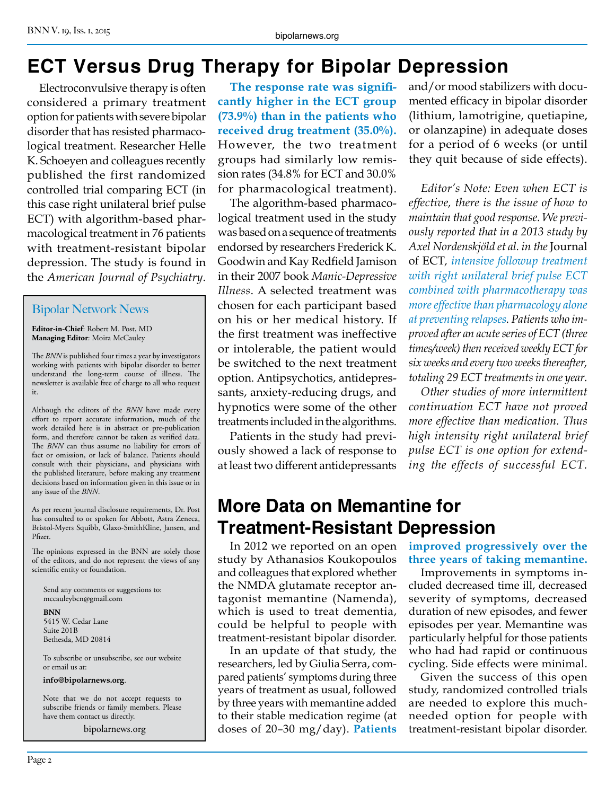# **ECT Versus Drug Therapy for Bipolar Depression**

Electroconvulsive therapy is often considered a primary treatment option for patients with severe bipolar disorder that has resisted pharmacological treatment. Researcher Helle K. Schoeyen and colleagues recently published the first randomized controlled trial comparing ECT (in this case right unilateral brief pulse ECT) with algorithm-based pharmacological treatment in 76 patients with treatment-resistant bipolar depression. The study is found in the *American Journal of Psychiatry*.

#### Bipolar Network News

**Editor-in-Chief**: Robert M. Post, MD **Managing Editor**: Moira McCauley

The *BNN* is published four times a year by investigators working with patients with bipolar disorder to better understand the long-term course of illness. The newsletter is available free of charge to all who request it.

Although the editors of the *BNN* have made every effort to report accurate information, much of the work detailed here is in abstract or pre-publication form, and therefore cannot be taken as verified data. The **BNN** can thus assume no liability for errors of fact or omission, or lack of balance. Patients should consult with their physicians, and physicians with the published literature, before making any treatment decisions based on information given in this issue or in any issue of the *BNN*.

As per recent journal disclosure requirements, Dr. Post has consulted to or spoken for Abbott, Astra Zeneca, Bristol-Myers Squibb, Glaxo-SmithKline, Jansen, and Pfizer.

The opinions expressed in the BNN are solely those of the editors, and do not represent the views of any scientific entity or foundation.

Send any comments or suggestions to: mccauleybcn@gmail.com

**BNN** 5415 W. Cedar Lane Suite 201B Bethesda, MD 20814

To subscribe or unsubscribe, see our website or email us at:

**info@bipolarnews.org**.

Note that we do not accept requests to subscribe friends or family members. Please have them contact us directly.

bipolarnews.org

**The response rate was significantly higher in the ECT group (73.9%) than in the patients who received drug treatment (35.0%).**  However, the two treatment groups had similarly low remission rates (34.8% for ECT and 30.0% for pharmacological treatment).

The algorithm-based pharmacological treatment used in the study was based on a sequence of treatments endorsed by researchers Frederick K. Goodwin and Kay Redfield Jamison in their 2007 book *Manic-Depressive Illness*. A selected treatment was chosen for each participant based on his or her medical history. If the first treatment was ineffective or intolerable, the patient would be switched to the next treatment option. Antipsychotics, antidepressants, anxiety-reducing drugs, and hypnotics were some of the other treatments included in the algorithms.

Patients in the study had previously showed a lack of response to at least two different antidepressants

and/or mood stabilizers with documented efficacy in bipolar disorder (lithium, lamotrigine, quetiapine, or olanzapine) in adequate doses for a period of 6 weeks (or until they quit because of side effects).

*Editor's Note: Even when ECT is effective, there is the issue of how to maintain that good response. We previously reported that in a 2013 study by Axel Nordenskjöld et al. in the* Journal of ECT*, intensive followup treatment with right unilateral brief pulse ECT combined with pharmacotherapy was more effective than pharmacology alone at preventing relapses. Patients who improved after an acute series of ECT (three times/week) then received weekly ECT for six weeks and every two weeks thereafter, totaling 29 ECT treatments in one year.*

*Other studies of more intermittent continuation ECT have not proved more effective than medication. Thus high intensity right unilateral brief pulse ECT is one option for extending the effects of successful ECT.*

# **More Data on Memantine for Treatment-Resistant Depression**

In 2012 we reported on an open study by Athanasios Koukopoulos and colleagues that explored whether the NMDA glutamate receptor antagonist memantine (Namenda), which is used to treat dementia, could be helpful to people with treatment-resistant bipolar disorder.

In an update of that study, the researchers, led by Giulia Serra, compared patients' symptoms during three years of treatment as usual, followed by three years with memantine added to their stable medication regime (at doses of 20–30 mg/day). **Patients**  **improved progressively over the three years of taking memantine.**

Improvements in symptoms included decreased time ill, decreased severity of symptoms, decreased duration of new episodes, and fewer episodes per year. Memantine was particularly helpful for those patients who had had rapid or continuous cycling. Side effects were minimal.

Given the success of this open study, randomized controlled trials are needed to explore this muchneeded option for people with treatment-resistant bipolar disorder.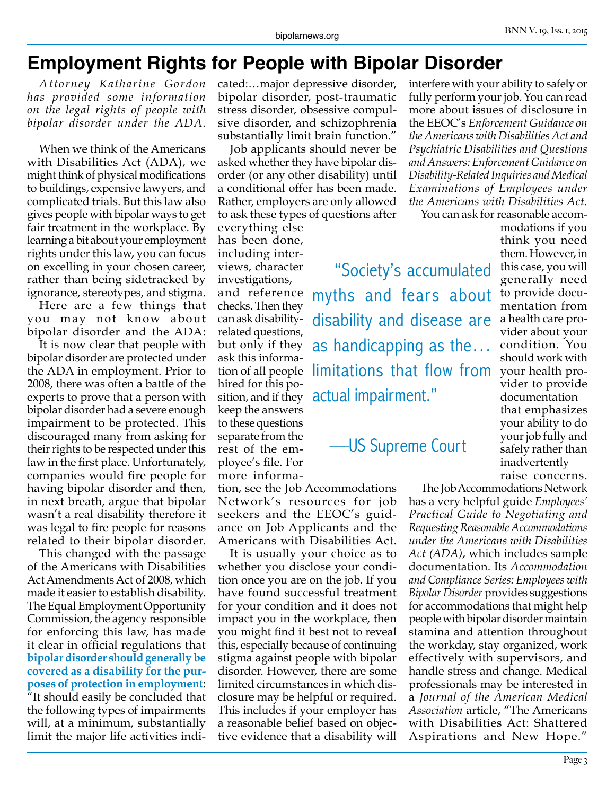# **Employment Rights for People with Bipolar Disorder**

*Attorney Katharine Gordon has provided some information on the legal rights of people with bipolar disorder under the ADA.*

When we think of the Americans with Disabilities Act (ADA), we might think of physical modifications to buildings, expensive lawyers, and complicated trials. But this law also gives people with bipolar ways to get fair treatment in the workplace. By learning a bit about your employment rights under this law, you can focus on excelling in your chosen career, rather than being sidetracked by ignorance, stereotypes, and stigma.

Here are a few things that you may not know about bipolar disorder and the ADA:

It is now clear that people with bipolar disorder are protected under the ADA in employment. Prior to 2008, there was often a battle of the experts to prove that a person with bipolar disorder had a severe enough impairment to be protected. This discouraged many from asking for their rights to be respected under this law in the first place. Unfortunately, companies would fire people for having bipolar disorder and then, in next breath, argue that bipolar wasn't a real disability therefore it was legal to fire people for reasons related to their bipolar disorder.

This changed with the passage of the Americans with Disabilities Act Amendments Act of 2008, which made it easier to establish disability. The Equal Employment Opportunity Commission, the agency responsible for enforcing this law, has made it clear in official regulations that **bipolar disorder should generally be covered as a disability for the purposes of protection in employment**: "It should easily be concluded that the following types of impairments will, at a minimum, substantially limit the major life activities indicated:…major depressive disorder, bipolar disorder, post-traumatic stress disorder, obsessive compulsive disorder, and schizophrenia substantially limit brain function."

Job applicants should never be asked whether they have bipolar disorder (or any other disability) until a conditional offer has been made. Rather, employers are only allowed to ask these types of questions after

everything else has been done, including interviews, character investigations, and reference

checks. Then they can ask disabilityrelated questions, but only if they ask this information of all people hired for this pokeep the answers to these questions separate from the rest of the employee's file. For more informa-

tion, see the Job Accommodations Network's resources for job seekers and the EEOC's guidance on Job Applicants and the Americans with Disabilities Act.

It is usually your choice as to whether you disclose your condition once you are on the job. If you have found successful treatment for your condition and it does not impact you in the workplace, then you might find it best not to reveal this, especially because of continuing stigma against people with bipolar disorder. However, there are some limited circumstances in which disclosure may be helpful or required. This includes if your employer has a reasonable belief based on objective evidence that a disability will

interfere with your ability to safely or fully perform your job. You can read more about issues of disclosure in the EEOC's *Enforcement Guidance on the Americans with Disabilities Act and Psychiatric Disabilities and Questions and Answers: Enforcement Guidance on Disability-Related Inquiries and Medical Examinations of Employees under the Americans with Disabilities Act.*

You can ask for reasonable accom-

 "Society's accumulated myths and fears about disability and disease are as handicapping as the… limitations that flow from  $\frac{1}{2}$  and  $\frac{1}{2}$  for  $\frac{1}{2}$  actual impairment."

# —US Supreme Court

modations if you think you need them. However, in this case, you will generally need to provide documentation from a health care provider about your condition. You should work with your health provider to provide documentation that emphasizes your ability to do your job fully and safely rather than inadvertently raise concerns.

The Job Accommodations Network has a very helpful guide *Employees' Practical Guide to Negotiating and Requesting Reasonable Accommodations under the Americans with Disabilities Act (ADA)*, which includes sample documentation. Its *Accommodation and Compliance Series: Employees with Bipolar Disorder* provides suggestions for accommodations that might help people with bipolar disorder maintain stamina and attention throughout the workday, stay organized, work effectively with supervisors, and handle stress and change. Medical professionals may be interested in a *Journal of the American Medical Association* article, "The Americans with Disabilities Act: Shattered Aspirations and New Hope."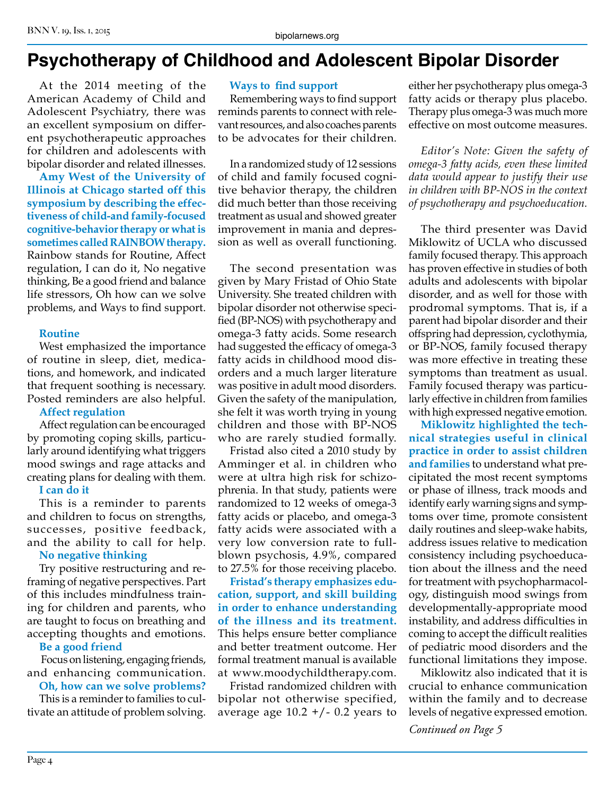# **Psychotherapy of Childhood and Adolescent Bipolar Disorder**

At the 2014 meeting of the American Academy of Child and Adolescent Psychiatry, there was an excellent symposium on different psychotherapeutic approaches for children and adolescents with bipolar disorder and related illnesses.

**Amy West of the University of Illinois at Chicago started off this symposium by describing the effectiveness of child-and family-focused cognitive-behavior therapy or what is sometimes called RAINBOW therapy.**  Rainbow stands for Routine, Affect regulation, I can do it, No negative thinking, Be a good friend and balance life stressors, Oh how can we solve problems, and Ways to find support.

#### **Routine**

West emphasized the importance of routine in sleep, diet, medications, and homework, and indicated that frequent soothing is necessary. Posted reminders are also helpful.

#### **Affect regulation**

Affect regulation can be encouraged by promoting coping skills, particularly around identifying what triggers mood swings and rage attacks and creating plans for dealing with them. **I can do it**

This is a reminder to parents and children to focus on strengths, successes, positive feedback, and the ability to call for help.

#### **No negative thinking**

Try positive restructuring and reframing of negative perspectives. Part of this includes mindfulness training for children and parents, who are taught to focus on breathing and accepting thoughts and emotions.

## **Be a good friend**

 Focus on listening, engaging friends, and enhancing communication.

## **Oh, how can we solve problems?**

This is a reminder to families to cultivate an attitude of problem solving.

#### **Ways to find support**

Remembering ways to find support reminds parents to connect with relevant resources, and also coaches parents to be advocates for their children.

In a randomized study of 12 sessions of child and family focused cognitive behavior therapy, the children did much better than those receiving treatment as usual and showed greater improvement in mania and depression as well as overall functioning.

The second presentation was given by Mary Fristad of Ohio State University. She treated children with bipolar disorder not otherwise specified (BP-NOS) with psychotherapy and omega-3 fatty acids. Some research had suggested the efficacy of omega-3 fatty acids in childhood mood disorders and a much larger literature was positive in adult mood disorders. Given the safety of the manipulation, she felt it was worth trying in young children and those with BP-NOS who are rarely studied formally.

Fristad also cited a 2010 study by Amminger et al. in children who were at ultra high risk for schizophrenia. In that study, patients were randomized to 12 weeks of omega-3 fatty acids or placebo, and omega-3 fatty acids were associated with a very low conversion rate to fullblown psychosis, 4.9%, compared to 27.5% for those receiving placebo.

**Fristad's therapy emphasizes education, support, and skill building in order to enhance understanding of the illness and its treatment.** This helps ensure better compliance and better treatment outcome. Her formal treatment manual is available at www.moodychildtherapy.com.

Fristad randomized children with bipolar not otherwise specified, average age  $10.2 + / -0.2$  years to

either her psychotherapy plus omega-3 fatty acids or therapy plus placebo. Therapy plus omega-3 was much more effective on most outcome measures.

*Editor's Note: Given the safety of omega-3 fatty acids, even these limited data would appear to justify their use in children with BP-NOS in the context of psychotherapy and psychoeducation.*

The third presenter was David Miklowitz of UCLA who discussed family focused therapy. This approach has proven effective in studies of both adults and adolescents with bipolar disorder, and as well for those with prodromal symptoms. That is, if a parent had bipolar disorder and their offspring had depression, cyclothymia, or BP-NOS, family focused therapy was more effective in treating these symptoms than treatment as usual. Family focused therapy was particularly effective in children from families with high expressed negative emotion.

**Miklowitz highlighted the technical strategies useful in clinical practice in order to assist children and families** to understand what precipitated the most recent symptoms or phase of illness, track moods and identify early warning signs and symptoms over time, promote consistent daily routines and sleep-wake habits, address issues relative to medication consistency including psychoeducation about the illness and the need for treatment with psychopharmacology, distinguish mood swings from developmentally-appropriate mood instability, and address difficulties in coming to accept the difficult realities of pediatric mood disorders and the functional limitations they impose.

Miklowitz also indicated that it is crucial to enhance communication within the family and to decrease levels of negative expressed emotion.

*Continued on Page 5*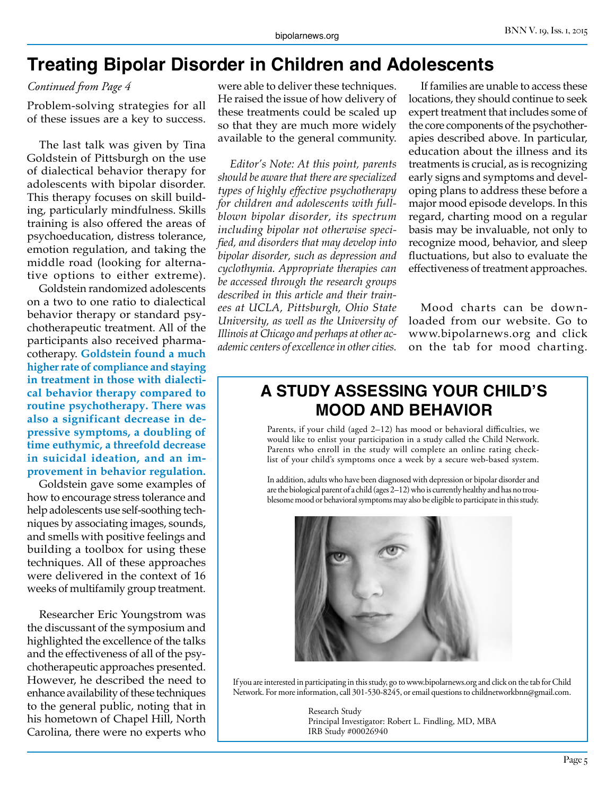# **Treating Bipolar Disorder in Children and Adolescents**

#### *Continued from Page 4*

Problem-solving strategies for all of these issues are a key to success.

The last talk was given by Tina Goldstein of Pittsburgh on the use of dialectical behavior therapy for adolescents with bipolar disorder. This therapy focuses on skill building, particularly mindfulness. Skills training is also offered the areas of psychoeducation, distress tolerance, emotion regulation, and taking the middle road (looking for alternative options to either extreme).

Goldstein randomized adolescents on a two to one ratio to dialectical behavior therapy or standard psychotherapeutic treatment. All of the participants also received pharmacotherapy. **Goldstein found a much higher rate of compliance and staying in treatment in those with dialectical behavior therapy compared to routine psychotherapy. There was also a significant decrease in depressive symptoms, a doubling of time euthymic, a threefold decrease in suicidal ideation, and an improvement in behavior regulation.** 

Goldstein gave some examples of how to encourage stress tolerance and help adolescents use self-soothing techniques by associating images, sounds, and smells with positive feelings and building a toolbox for using these techniques. All of these approaches were delivered in the context of 16 weeks of multifamily group treatment.

Researcher Eric Youngstrom was the discussant of the symposium and highlighted the excellence of the talks and the effectiveness of all of the psychotherapeutic approaches presented. However, he described the need to enhance availability of these techniques to the general public, noting that in his hometown of Chapel Hill, North Carolina, there were no experts who

were able to deliver these techniques. He raised the issue of how delivery of these treatments could be scaled up so that they are much more widely available to the general community.

*Editor's Note: At this point, parents should be aware that there are specialized types of highly effective psychotherapy for children and adolescents with fullblown bipolar disorder, its spectrum including bipolar not otherwise specified, and disorders that may develop into bipolar disorder, such as depression and cyclothymia. Appropriate therapies can be accessed through the research groups described in this article and their trainees at UCLA, Pittsburgh, Ohio State University, as well as the University of Illinois at Chicago and perhaps at other academic centers of excellence in other cities.*

If families are unable to access these locations, they should continue to seek expert treatment that includes some of the core components of the psychotherapies described above. In particular, education about the illness and its treatments is crucial, as is recognizing early signs and symptoms and developing plans to address these before a major mood episode develops. In this regard, charting mood on a regular basis may be invaluable, not only to recognize mood, behavior, and sleep fluctuations, but also to evaluate the effectiveness of treatment approaches.

Mood charts can be downloaded from our website. Go to www.bipolarnews.org and click on the tab for mood charting.

## **A STUDY ASSESSING YOUR CHILD'S MOOD AND BEHAVIOR**

Parents, if your child (aged 2–12) has mood or behavioral difficulties, we would like to enlist your participation in a study called the Child Network. Parents who enroll in the study will complete an online rating checklist of your child's symptoms once a week by a secure web-based system.

In addition, adults who have been diagnosed with depression or bipolar disorder and are the biological parent of a child (ages 2–12) who is currently healthy and has no troublesome mood or behavioral symptoms may also be eligible to participate in this study.



If you are interested in participating in this study, go to www.bipolarnews.org and click on the tab for Child Network. For more information, call 301-530-8245, or email questions to childnetworkbnn@gmail.com.

> Research Study Principal Investigator: Robert L. Findling, MD, MBA IRB Study #00026940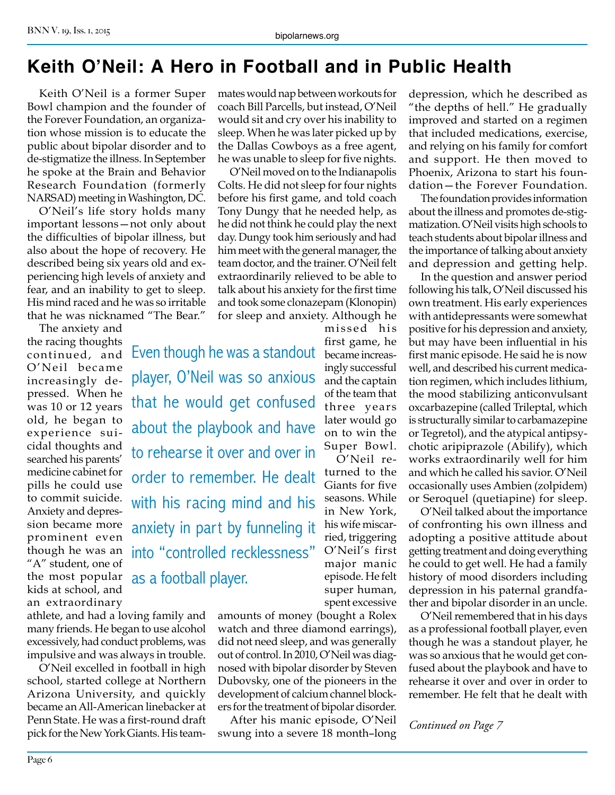# **Keith O'Neil: A Hero in Football and in Public Health**

Keith O'Neil is a former Super Bowl champion and the founder of the Forever Foundation, an organization whose mission is to educate the public about bipolar disorder and to de-stigmatize the illness. In September he spoke at the Brain and Behavior Research Foundation (formerly NARSAD) meeting in Washington, DC.

O'Neil's life story holds many important lessons—not only about the difficulties of bipolar illness, but also about the hope of recovery. He described being six years old and experiencing high levels of anxiety and fear, and an inability to get to sleep. His mind raced and he was so irritable that he was nicknamed "The Bear."

The anxiety and the racing thoughts continued, and O'Neil became increasingly depressed. When he was 10 or 12 years old, he began to experience suicidal thoughts and searched his parents' medicine cabinet for pills he could use to commit suicide. Anxiety and depression became more prominent even though he was an "A" student, one of the most popular kids at school, and an extraordinary

athlete, and had a loving family and many friends. He began to use alcohol excessively, had conduct problems, was impulsive and was always in trouble.

O'Neil excelled in football in high school, started college at Northern Arizona University, and quickly became an All-American linebacker at Penn State. He was a first-round draft pick for the New York Giants. His teammates would nap between workouts for coach Bill Parcells, but instead, O'Neil would sit and cry over his inability to sleep. When he was later picked up by the Dallas Cowboys as a free agent, he was unable to sleep for five nights.

O'Neil moved on to the Indianapolis Colts. He did not sleep for four nights before his first game, and told coach Tony Dungy that he needed help, as he did not think he could play the next day. Dungy took him seriously and had him meet with the general manager, the team doctor, and the trainer. O'Neil felt extraordinarily relieved to be able to talk about his anxiety for the first time and took some clonazepam (Klonopin) for sleep and anxiety. Although he missed his

> first game, he became increasingly successful and the captain of the team that three years later would go on to win the Super Bowl. O'Neil returned to the Giants for five seasons. While in New York, his wife miscarried, triggering O'Neil's first major manic episode. He felt super human,

Even though he was a standout player, O'Neil was so anxious that he would get confused about the playbook and have to rehearse it over and over in order to remember. He dealt with his racing mind and his anxiety in part by funneling it into "controlled recklessness" as a football player.

> spent excessive amounts of money (bought a Rolex watch and three diamond earrings), did not need sleep, and was generally out of control. In 2010, O'Neil was diagnosed with bipolar disorder by Steven Dubovsky, one of the pioneers in the development of calcium channel blockers for the treatment of bipolar disorder.

> After his manic episode, O'Neil swung into a severe 18 month–long

depression, which he described as "the depths of hell." He gradually improved and started on a regimen that included medications, exercise, and relying on his family for comfort and support. He then moved to Phoenix, Arizona to start his foundation—the Forever Foundation.

The foundation provides information about the illness and promotes de-stigmatization. O'Neil visits high schools to teach students about bipolar illness and the importance of talking about anxiety and depression and getting help.

In the question and answer period following his talk, O'Neil discussed his own treatment. His early experiences with antidepressants were somewhat positive for his depression and anxiety, but may have been influential in his first manic episode. He said he is now well, and described his current medication regimen, which includes lithium, the mood stabilizing anticonvulsant oxcarbazepine (called Trileptal, which is structurally similar to carbamazepine or Tegretol), and the atypical antipsychotic aripiprazole (Abilify), which works extraordinarily well for him and which he called his savior. O'Neil occasionally uses Ambien (zolpidem) or Seroquel (quetiapine) for sleep.

O'Neil talked about the importance of confronting his own illness and adopting a positive attitude about getting treatment and doing everything he could to get well. He had a family history of mood disorders including depression in his paternal grandfather and bipolar disorder in an uncle.

O'Neil remembered that in his days as a professional football player, even though he was a standout player, he was so anxious that he would get confused about the playbook and have to rehearse it over and over in order to remember. He felt that he dealt with

*Continued on Page 7*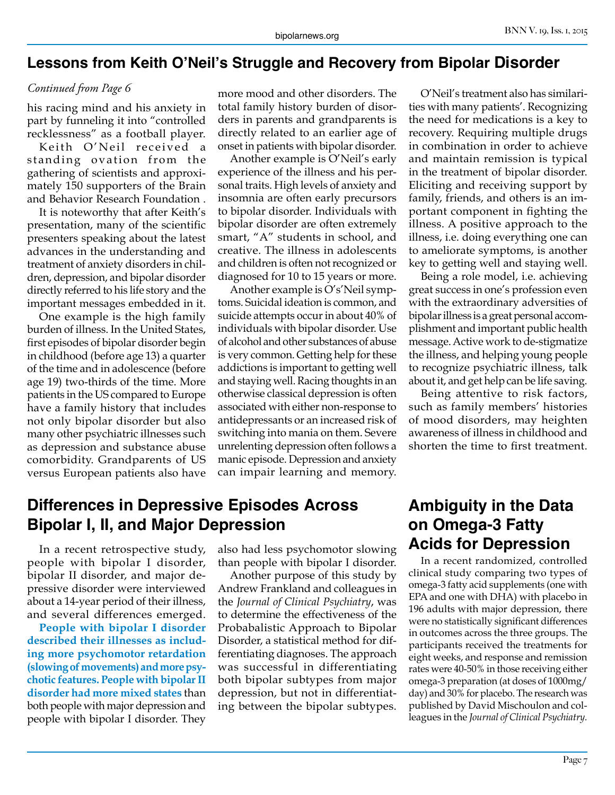## **Lessons from Keith O'Neil's Struggle and Recovery from Bipolar Disorder**

#### *Continued from Page 6*

his racing mind and his anxiety in part by funneling it into "controlled recklessness" as a football player.

Keith O'Neil received a standing ovation from the gathering of scientists and approximately 150 supporters of the Brain and Behavior Research Foundation .

It is noteworthy that after Keith's presentation, many of the scientific presenters speaking about the latest advances in the understanding and treatment of anxiety disorders in children, depression, and bipolar disorder directly referred to his life story and the important messages embedded in it.

One example is the high family burden of illness. In the United States, first episodes of bipolar disorder begin in childhood (before age 13) a quarter of the time and in adolescence (before age 19) two-thirds of the time. More patients in the US compared to Europe have a family history that includes not only bipolar disorder but also many other psychiatric illnesses such as depression and substance abuse comorbidity. Grandparents of US versus European patients also have more mood and other disorders. The total family history burden of disorders in parents and grandparents is directly related to an earlier age of onset in patients with bipolar disorder.

Another example is O'Neil's early experience of the illness and his personal traits. High levels of anxiety and insomnia are often early precursors to bipolar disorder. Individuals with bipolar disorder are often extremely smart, "A" students in school, and creative. The illness in adolescents and children is often not recognized or diagnosed for 10 to 15 years or more.

Another example is O's'Neil symptoms. Suicidal ideation is common, and suicide attempts occur in about 40% of individuals with bipolar disorder. Use of alcohol and other substances of abuse is very common. Getting help for these addictions is important to getting well and staying well. Racing thoughts in an otherwise classical depression is often associated with either non-response to antidepressants or an increased risk of switching into mania on them. Severe unrelenting depression often follows a manic episode. Depression and anxiety can impair learning and memory.

O'Neil's treatment also has similarities with many patients'. Recognizing the need for medications is a key to recovery. Requiring multiple drugs in combination in order to achieve and maintain remission is typical in the treatment of bipolar disorder. Eliciting and receiving support by family, friends, and others is an important component in fighting the illness. A positive approach to the illness, i.e. doing everything one can to ameliorate symptoms, is another key to getting well and staying well.

Being a role model, i.e. achieving great success in one's profession even with the extraordinary adversities of bipolar illness is a great personal accomplishment and important public health message. Active work to de-stigmatize the illness, and helping young people to recognize psychiatric illness, talk about it, and get help can be life saving.

Being attentive to risk factors, such as family members' histories of mood disorders, may heighten awareness of illness in childhood and shorten the time to first treatment.

## **Differences in Depressive Episodes Across Bipolar I, II, and Major Depression**

In a recent retrospective study, people with bipolar I disorder, bipolar II disorder, and major depressive disorder were interviewed about a 14-year period of their illness, and several differences emerged.

**People with bipolar I disorder described their illnesses as including more psychomotor retardation (slowing of movements) and more psychotic features. People with bipolar II disorder had more mixed states** than both people with major depression and people with bipolar I disorder. They

also had less psychomotor slowing than people with bipolar I disorder.

Another purpose of this study by Andrew Frankland and colleagues in the *Journal of Clinical Psychiatry*, was to determine the effectiveness of the Probabalistic Approach to Bipolar Disorder, a statistical method for differentiating diagnoses. The approach was successful in differentiating both bipolar subtypes from major depression, but not in differentiating between the bipolar subtypes.

# **Ambiguity in the Data on Omega-3 Fatty Acids for Depression**

In a recent randomized, controlled clinical study comparing two types of omega-3 fatty acid supplements (one with EPA and one with DHA) with placebo in 196 adults with major depression, there were no statistically significant differences in outcomes across the three groups. The participants received the treatments for eight weeks, and response and remission rates were 40-50% in those receiving either omega-3 preparation (at doses of 1000mg/ day) and 30% for placebo. The research was published by David Mischoulon and colleagues in the *Journal of Clinical Psychiatry.*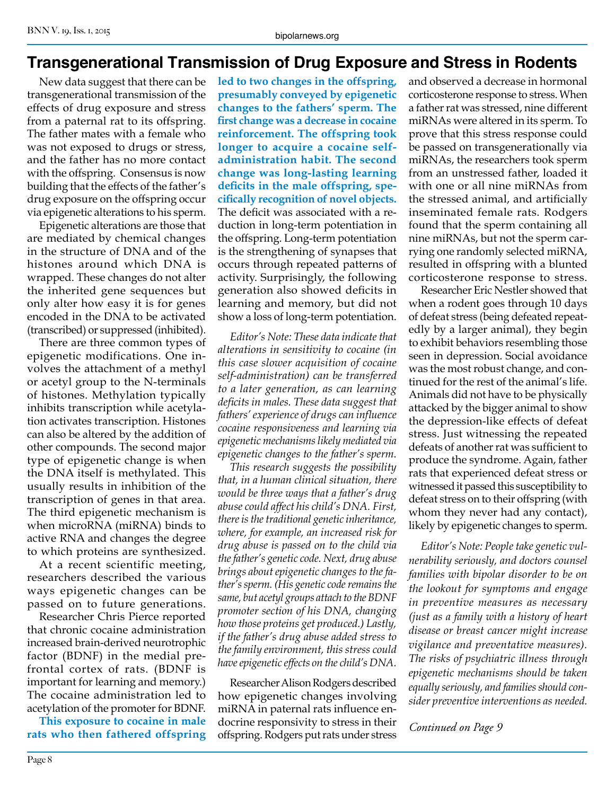## **Transgenerational Transmission of Drug Exposure and Stress in Rodents**

New data suggest that there can be transgenerational transmission of the effects of drug exposure and stress from a paternal rat to its offspring. The father mates with a female who was not exposed to drugs or stress, and the father has no more contact with the offspring. Consensus is now building that the effects of the father's drug exposure on the offspring occur via epigenetic alterations to his sperm.

Epigenetic alterations are those that are mediated by chemical changes in the structure of DNA and of the histones around which DNA is wrapped. These changes do not alter the inherited gene sequences but only alter how easy it is for genes encoded in the DNA to be activated (transcribed) or suppressed (inhibited).

There are three common types of epigenetic modifications. One involves the attachment of a methyl or acetyl group to the N-terminals of histones. Methylation typically inhibits transcription while acetylation activates transcription. Histones can also be altered by the addition of other compounds. The second major type of epigenetic change is when the DNA itself is methylated. This usually results in inhibition of the transcription of genes in that area. The third epigenetic mechanism is when microRNA (miRNA) binds to active RNA and changes the degree to which proteins are synthesized.

At a recent scientific meeting, researchers described the various ways epigenetic changes can be passed on to future generations.

Researcher Chris Pierce reported that chronic cocaine administration increased brain-derived neurotrophic factor (BDNF) in the medial prefrontal cortex of rats. (BDNF is important for learning and memory.) The cocaine administration led to acetylation of the promoter for BDNF.

**This exposure to cocaine in male rats who then fathered offspring** 

**led to two changes in the offspring, presumably conveyed by epigenetic changes to the fathers' sperm. The first change was a decrease in cocaine reinforcement. The offspring took longer to acquire a cocaine selfadministration habit. The second change was long-lasting learning deficits in the male offspring, specifically recognition of novel objects.**  The deficit was associated with a reduction in long-term potentiation in the offspring. Long-term potentiation is the strengthening of synapses that occurs through repeated patterns of activity. Surprisingly, the following generation also showed deficits in learning and memory, but did not show a loss of long-term potentiation.

*Editor's Note: These data indicate that alterations in sensitivity to cocaine (in this case slower acquisition of cocaine self-administration) can be transferred to a later generation, as can learning deficits in males. These data suggest that fathers' experience of drugs can influence cocaine responsiveness and learning via epigenetic mechanisms likely mediated via epigenetic changes to the father's sperm.*

*This research suggests the possibility that, in a human clinical situation, there would be three ways that a father's drug abuse could affect his child's DNA. First, there is the traditional genetic inheritance, where, for example, an increased risk for drug abuse is passed on to the child via the father's genetic code. Next, drug abuse brings about epigenetic changes to the father's sperm. (His genetic code remains the same, but acetyl groups attach to the BDNF promoter section of his DNA, changing how those proteins get produced.) Lastly, if the father's drug abuse added stress to the family environment, this stress could have epigenetic effects on the child's DNA.*

Researcher Alison Rodgers described how epigenetic changes involving miRNA in paternal rats influence endocrine responsivity to stress in their offspring. Rodgers put rats under stress and observed a decrease in hormonal corticosterone response to stress. When a father rat was stressed, nine different miRNAs were altered in its sperm. To prove that this stress response could be passed on transgenerationally via miRNAs, the researchers took sperm from an unstressed father, loaded it with one or all nine miRNAs from the stressed animal, and artificially inseminated female rats. Rodgers found that the sperm containing all nine miRNAs, but not the sperm carrying one randomly selected miRNA, resulted in offspring with a blunted corticosterone response to stress.

Researcher Eric Nestler showed that when a rodent goes through 10 days of defeat stress (being defeated repeatedly by a larger animal), they begin to exhibit behaviors resembling those seen in depression. Social avoidance was the most robust change, and continued for the rest of the animal's life. Animals did not have to be physically attacked by the bigger animal to show the depression-like effects of defeat stress. Just witnessing the repeated defeats of another rat was sufficient to produce the syndrome. Again, father rats that experienced defeat stress or witnessed it passed this susceptibility to defeat stress on to their offspring (with whom they never had any contact), likely by epigenetic changes to sperm.

*Editor's Note: People take genetic vulnerability seriously, and doctors counsel families with bipolar disorder to be on the lookout for symptoms and engage in preventive measures as necessary (just as a family with a history of heart disease or breast cancer might increase vigilance and preventative measures). The risks of psychiatric illness through epigenetic mechanisms should be taken equally seriously, and families should consider preventive interventions as needed.*

*Continued on Page 9*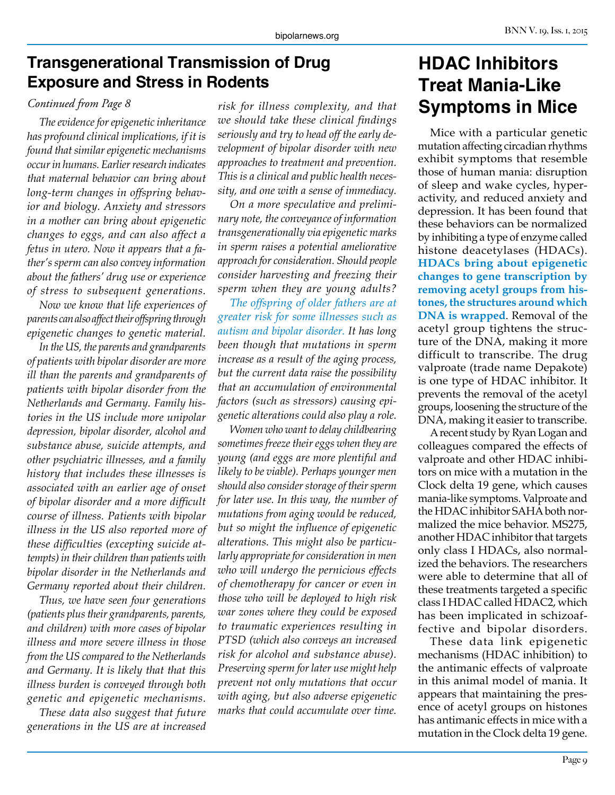## **Transgenerational Transmission of Drug Exposure and Stress in Rodents**

## *Continued from Page 8*

*The evidence for epigenetic inheritance has profound clinical implications, if it is found that similar epigenetic mechanisms occur in humans. Earlier research indicates that maternal behavior can bring about long-term changes in offspring behavior and biology. Anxiety and stressors in a mother can bring about epigenetic changes to eggs, and can also affect a fetus in utero. Now it appears that a father's sperm can also convey information about the fathers' drug use or experience of stress to subsequent generations.*

*Now we know that life experiences of parents can also affect their offspring through epigenetic changes to genetic material.*

*In the US, the parents and grandparents of patients with bipolar disorder are more ill than the parents and grandparents of patients with bipolar disorder from the Netherlands and Germany. Family histories in the US include more unipolar depression, bipolar disorder, alcohol and substance abuse, suicide attempts, and other psychiatric illnesses, and a family history that includes these illnesses is associated with an earlier age of onset of bipolar disorder and a more difficult course of illness. Patients with bipolar illness in the US also reported more of these difficulties (excepting suicide attempts) in their children than patients with bipolar disorder in the Netherlands and Germany reported about their children.*

*Thus, we have seen four generations (patients plus their grandparents, parents, and children) with more cases of bipolar illness and more severe illness in those from the US compared to the Netherlands and Germany. It is likely that that this illness burden is conveyed through both genetic and epigenetic mechanisms.*

*These data also suggest that future generations in the US are at increased*  *risk for illness complexity, and that we should take these clinical findings seriously and try to head off the early development of bipolar disorder with new approaches to treatment and prevention. This is a clinical and public health necessity, and one with a sense of immediacy.*

*On a more speculative and preliminary note, the conveyance of information transgenerationally via epigenetic marks in sperm raises a potential ameliorative approach for consideration. Should people consider harvesting and freezing their sperm when they are young adults?*

*The offspring of older fathers are at greater risk for some illnesses such as autism and bipolar disorder. It has long been though that mutations in sperm increase as a result of the aging process, but the current data raise the possibility that an accumulation of environmental factors (such as stressors) causing epigenetic alterations could also play a role.*

*Women who want to delay childbearing sometimes freeze their eggs when they are young (and eggs are more plentiful and likely to be viable). Perhaps younger men should also consider storage of their sperm for later use. In this way, the number of mutations from aging would be reduced, but so might the influence of epigenetic alterations. This might also be particularly appropriate for consideration in men who will undergo the pernicious effects of chemotherapy for cancer or even in those who will be deployed to high risk war zones where they could be exposed to traumatic experiences resulting in PTSD (which also conveys an increased risk for alcohol and substance abuse). Preserving sperm for later use might help prevent not only mutations that occur with aging, but also adverse epigenetic marks that could accumulate over time.*

# **HDAC Inhibitors Treat Mania-Like Symptoms in Mice**

Mice with a particular genetic mutation affecting circadian rhythms exhibit symptoms that resemble those of human mania: disruption of sleep and wake cycles, hyperactivity, and reduced anxiety and depression. It has been found that these behaviors can be normalized by inhibiting a type of enzyme called histone deacetylases (HDACs). **HDACs bring about epigenetic changes to gene transcription by removing acetyl groups from histones, the structures around which DNA is wrapped**. Removal of the acetyl group tightens the structure of the DNA, making it more difficult to transcribe. The drug valproate (trade name Depakote) is one type of HDAC inhibitor. It prevents the removal of the acetyl groups, loosening the structure of the DNA, making it easier to transcribe.

A recent study by Ryan Logan and colleagues compared the effects of valproate and other HDAC inhibitors on mice with a mutation in the Clock delta 19 gene, which causes mania-like symptoms. Valproate and the HDAC inhibitor SAHA both normalized the mice behavior. MS275, another HDAC inhibitor that targets only class I HDACs, also normalized the behaviors. The researchers were able to determine that all of these treatments targeted a specific class I HDAC called HDAC2, which has been implicated in schizoaffective and bipolar disorders.

These data link epigenetic mechanisms (HDAC inhibition) to the antimanic effects of valproate in this animal model of mania. It appears that maintaining the presence of acetyl groups on histones has antimanic effects in mice with a mutation in the Clock delta 19 gene.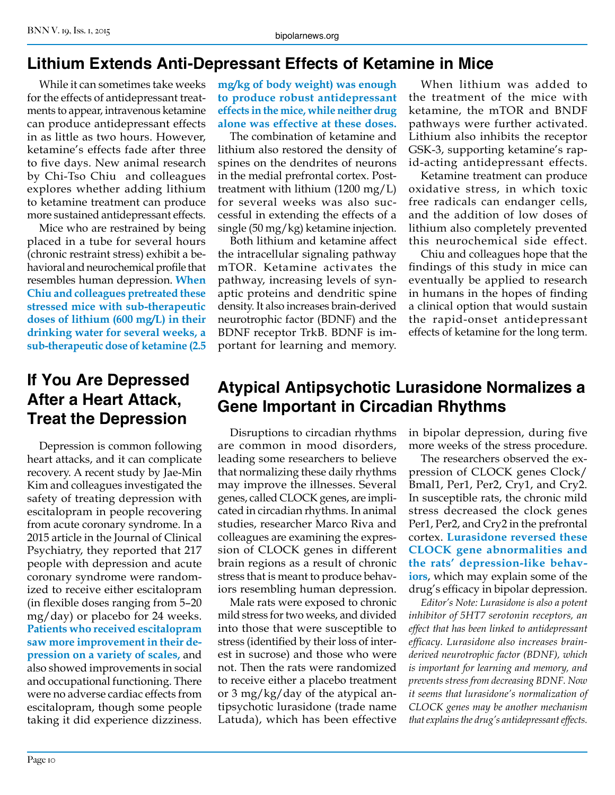# **Lithium Extends Anti-Depressant Effects of Ketamine in Mice**

While it can sometimes take weeks for the effects of antidepressant treatments to appear, intravenous ketamine can produce antidepressant effects in as little as two hours. However, ketamine's effects fade after three to five days. New animal research by Chi-Tso Chiu and colleagues explores whether adding lithium to ketamine treatment can produce more sustained antidepressant effects.

Mice who are restrained by being placed in a tube for several hours (chronic restraint stress) exhibit a behavioral and neurochemical profile that resembles human depression. **When Chiu and colleagues pretreated these stressed mice with sub-therapeutic doses of lithium (600 mg/L) in their drinking water for several weeks, a sub-therapeutic dose of ketamine (2.5** 

# **If You Are Depressed After a Heart Attack, Treat the Depression**

Depression is common following heart attacks, and it can complicate recovery. A recent study by Jae-Min Kim and colleagues investigated the safety of treating depression with escitalopram in people recovering from acute coronary syndrome. In a 2015 article in the Journal of Clinical Psychiatry, they reported that 217 people with depression and acute coronary syndrome were randomized to receive either escitalopram (in flexible doses ranging from 5–20 mg/day) or placebo for 24 weeks. **Patients who received escitalopram saw more improvement in their depression on a variety of scales,** and also showed improvements in social and occupational functioning. There were no adverse cardiac effects from escitalopram, though some people taking it did experience dizziness.

**mg/kg of body weight) was enough to produce robust antidepressant effects in the mice, while neither drug alone was effective at these doses.**

The combination of ketamine and lithium also restored the density of spines on the dendrites of neurons in the medial prefrontal cortex. Posttreatment with lithium (1200 mg/L) for several weeks was also successful in extending the effects of a single (50 mg/kg) ketamine injection.

Both lithium and ketamine affect the intracellular signaling pathway mTOR. Ketamine activates the pathway, increasing levels of synaptic proteins and dendritic spine density. It also increases brain-derived neurotrophic factor (BDNF) and the BDNF receptor TrkB. BDNF is important for learning and memory.

When lithium was added to the treatment of the mice with ketamine, the mTOR and BNDF pathways were further activated. Lithium also inhibits the receptor GSK-3, supporting ketamine's rapid-acting antidepressant effects.

Ketamine treatment can produce oxidative stress, in which toxic free radicals can endanger cells, and the addition of low doses of lithium also completely prevented this neurochemical side effect.

Chiu and colleagues hope that the findings of this study in mice can eventually be applied to research in humans in the hopes of finding a clinical option that would sustain the rapid-onset antidepressant effects of ketamine for the long term.

# **Atypical Antipsychotic Lurasidone Normalizes a Gene Important in Circadian Rhythms**

Disruptions to circadian rhythms are common in mood disorders, leading some researchers to believe that normalizing these daily rhythms may improve the illnesses. Several genes, called CLOCK genes, are implicated in circadian rhythms. In animal studies, researcher Marco Riva and colleagues are examining the expression of CLOCK genes in different brain regions as a result of chronic stress that is meant to produce behaviors resembling human depression.

Male rats were exposed to chronic mild stress for two weeks, and divided into those that were susceptible to stress (identified by their loss of interest in sucrose) and those who were not. Then the rats were randomized to receive either a placebo treatment or 3 mg/kg/day of the atypical antipsychotic lurasidone (trade name Latuda), which has been effective in bipolar depression, during five more weeks of the stress procedure.

The researchers observed the expression of CLOCK genes Clock/ Bmal1, Per1, Per2, Cry1, and Cry2. In susceptible rats, the chronic mild stress decreased the clock genes Per1, Per2, and Cry2 in the prefrontal cortex. **Lurasidone reversed these CLOCK gene abnormalities and the rats' depression-like behaviors**, which may explain some of the drug's efficacy in bipolar depression.

*Editor's Note: Lurasidone is also a potent inhibitor of 5HT7 serotonin receptors, an effect that has been linked to antidepressant efficacy. Lurasidone also increases brainderived neurotrophic factor (BDNF), which is important for learning and memory, and prevents stress from decreasing BDNF. Now it seems that lurasidone's normalization of CLOCK genes may be another mechanism that explains the drug's antidepressant effects.*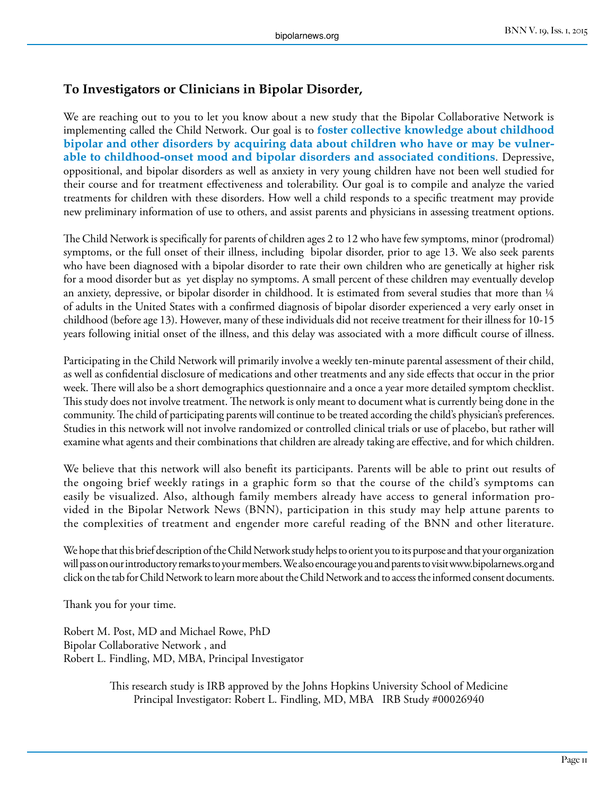## **To Investigators or Clinicians in Bipolar Disorder,**

We are reaching out to you to let you know about a new study that the Bipolar Collaborative Network is implementing called the Child Network. Our goal is to **foster collective knowledge about childhood bipolar and other disorders by acquiring data about children who have or may be vulnerable to childhood-onset mood and bipolar disorders and associated conditions**. Depressive, oppositional, and bipolar disorders as well as anxiety in very young children have not been well studied for their course and for treatment effectiveness and tolerability. Our goal is to compile and analyze the varied treatments for children with these disorders. How well a child responds to a specific treatment may provide new preliminary information of use to others, and assist parents and physicians in assessing treatment options.

The Child Network is specifically for parents of children ages 2 to 12 who have few symptoms, minor (prodromal) symptoms, or the full onset of their illness, including bipolar disorder, prior to age 13. We also seek parents who have been diagnosed with a bipolar disorder to rate their own children who are genetically at higher risk for a mood disorder but as yet display no symptoms. A small percent of these children may eventually develop an anxiety, depressive, or bipolar disorder in childhood. It is estimated from several studies that more than 1/4 of adults in the United States with a confirmed diagnosis of bipolar disorder experienced a very early onset in childhood (before age 13). However, many of these individuals did not receive treatment for their illness for 10-15 years following initial onset of the illness, and this delay was associated with a more difficult course of illness.

Participating in the Child Network will primarily involve a weekly ten-minute parental assessment of their child, as well as confidential disclosure of medications and other treatments and any side effects that occur in the prior week. There will also be a short demographics questionnaire and a once a year more detailed symptom checklist. This study does not involve treatment. The network is only meant to document what is currently being done in the community. The child of participating parents will continue to be treated according the child's physician's preferences. Studies in this network will not involve randomized or controlled clinical trials or use of placebo, but rather will examine what agents and their combinations that children are already taking are effective, and for which children.

We believe that this network will also benefit its participants. Parents will be able to print out results of the ongoing brief weekly ratings in a graphic form so that the course of the child's symptoms can easily be visualized. Also, although family members already have access to general information provided in the Bipolar Network News (BNN), participation in this study may help attune parents to the complexities of treatment and engender more careful reading of the BNN and other literature.

We hope that this brief description of the Child Network study helps to orient you to its purpose and that your organization will pass on our introductory remarks to your members. We also encourage you and parents to visit www.bipolarnews.org and click on the tab for Child Network to learn more about the Child Network and to access the informed consent documents.

Thank you for your time.

Robert M. Post, MD and Michael Rowe, PhD Bipolar Collaborative Network , and Robert L. Findling, MD, MBA, Principal Investigator

> This research study is IRB approved by the Johns Hopkins University School of Medicine Principal Investigator: Robert L. Findling, MD, MBA IRB Study #00026940